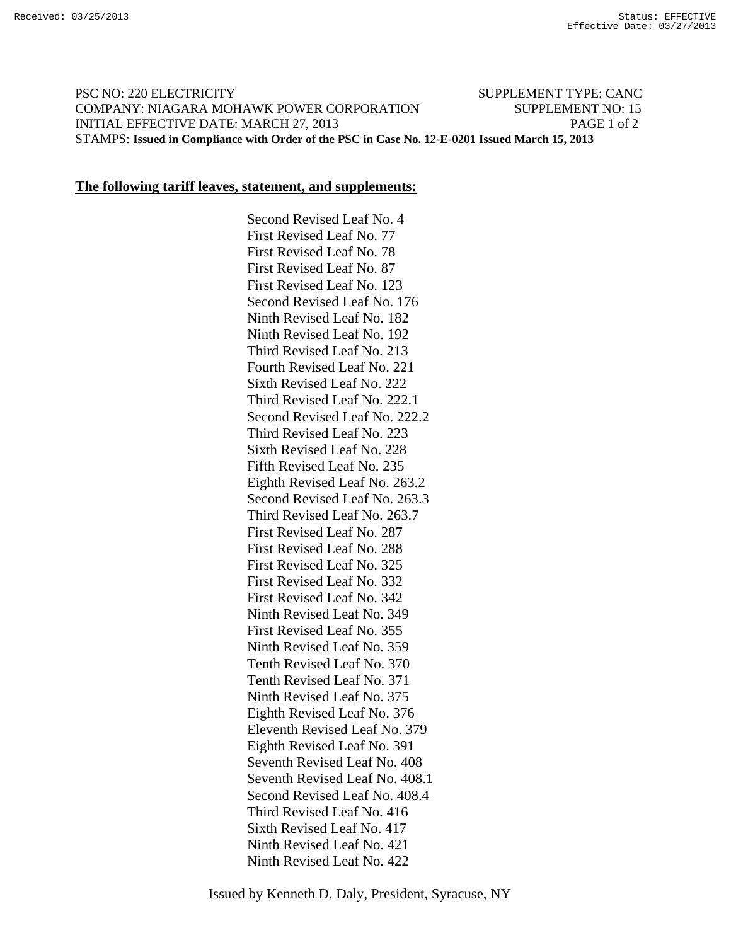## PSC NO: 220 ELECTRICITY SUPPLEMENT TYPE: CANC COMPANY: NIAGARA MOHAWK POWER CORPORATION SUPPLEMENT NO: 15 INITIAL EFFECTIVE DATE: MARCH 27, 2013 PAGE 1 of 2 STAMPS: **Issued in Compliance with Order of the PSC in Case No. 12-E-0201 Issued March 15, 2013**

## **The following tariff leaves, statement, and supplements:**

 Second Revised Leaf No. 4 First Revised Leaf No. 77 First Revised Leaf No. 78 First Revised Leaf No. 87 First Revised Leaf No. 123 Second Revised Leaf No. 176 Ninth Revised Leaf No. 182 Ninth Revised Leaf No. 192 Third Revised Leaf No. 213 Fourth Revised Leaf No. 221 Sixth Revised Leaf No. 222 Third Revised Leaf No. 222.1 Second Revised Leaf No. 222.2 Third Revised Leaf No. 223 Sixth Revised Leaf No. 228 Fifth Revised Leaf No. 235 Eighth Revised Leaf No. 263.2 Second Revised Leaf No. 263.3 Third Revised Leaf No. 263.7 First Revised Leaf No. 287 First Revised Leaf No. 288 First Revised Leaf No. 325 First Revised Leaf No. 332 First Revised Leaf No. 342 Ninth Revised Leaf No. 349 First Revised Leaf No. 355 Ninth Revised Leaf No. 359 Tenth Revised Leaf No. 370 Tenth Revised Leaf No. 371 Ninth Revised Leaf No. 375 Eighth Revised Leaf No. 376 Eleventh Revised Leaf No. 379 Eighth Revised Leaf No. 391 Seventh Revised Leaf No. 408 Seventh Revised Leaf No. 408.1 Second Revised Leaf No. 408.4 Third Revised Leaf No. 416 Sixth Revised Leaf No. 417 Ninth Revised Leaf No. 421 Ninth Revised Leaf No. 422

Issued by Kenneth D. Daly, President, Syracuse, NY